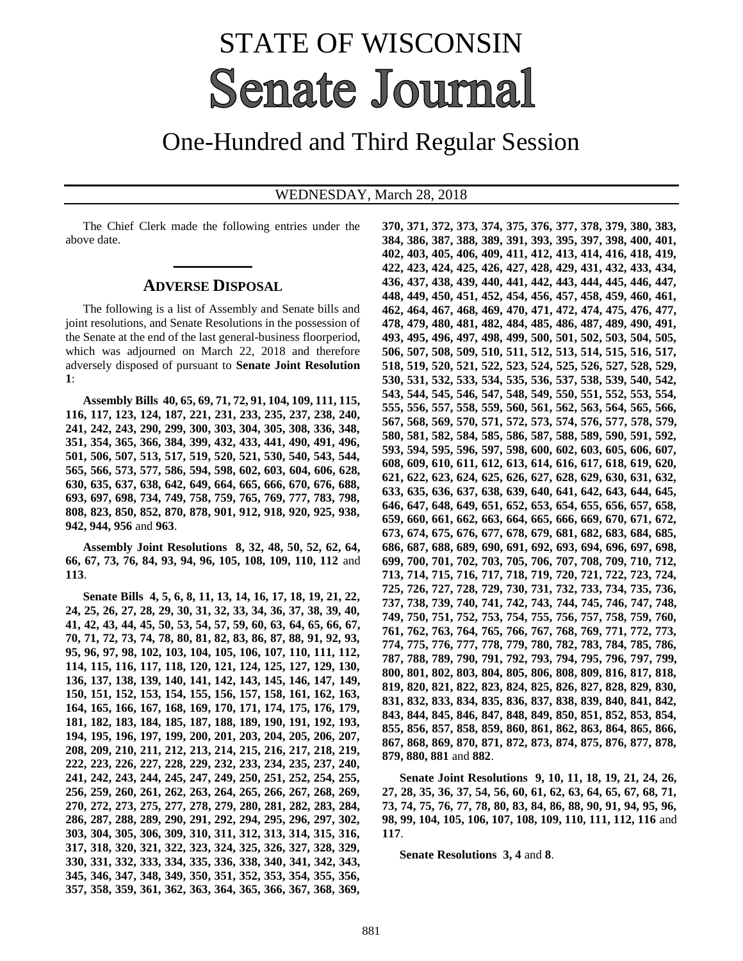# STATE OF WISCONSIN **Senate Journal**

## One-Hundred and Third Regular Session

## WEDNESDAY, March 28, 2018

The Chief Clerk made the following entries under the above date.

## **ADVERSE DISPOSAL**

**\_\_\_\_\_\_\_\_\_\_\_\_\_**

The following is a list of Assembly and Senate bills and joint resolutions, and Senate Resolutions in the possession of the Senate at the end of the last general-business floorperiod, which was adjourned on March 22, 2018 and therefore adversely disposed of pursuant to **Senate Joint Resolution 1**:

**Assembly Bills 40, 65, 69, 71, 72, 91, 104, 109, 111, 115, 116, 117, 123, 124, 187, 221, 231, 233, 235, 237, 238, 240, 241, 242, 243, 290, 299, 300, 303, 304, 305, 308, 336, 348, 351, 354, 365, 366, 384, 399, 432, 433, 441, 490, 491, 496, 501, 506, 507, 513, 517, 519, 520, 521, 530, 540, 543, 544, 565, 566, 573, 577, 586, 594, 598, 602, 603, 604, 606, 628, 630, 635, 637, 638, 642, 649, 664, 665, 666, 670, 676, 688, 693, 697, 698, 734, 749, 758, 759, 765, 769, 777, 783, 798, 808, 823, 850, 852, 870, 878, 901, 912, 918, 920, 925, 938, 942, 944, 956** and **963**.

**Assembly Joint Resolutions 8, 32, 48, 50, 52, 62, 64, 66, 67, 73, 76, 84, 93, 94, 96, 105, 108, 109, 110, 112** and **113**.

**Senate Bills 4, 5, 6, 8, 11, 13, 14, 16, 17, 18, 19, 21, 22, 24, 25, 26, 27, 28, 29, 30, 31, 32, 33, 34, 36, 37, 38, 39, 40, 41, 42, 43, 44, 45, 50, 53, 54, 57, 59, 60, 63, 64, 65, 66, 67, 70, 71, 72, 73, 74, 78, 80, 81, 82, 83, 86, 87, 88, 91, 92, 93, 95, 96, 97, 98, 102, 103, 104, 105, 106, 107, 110, 111, 112, 114, 115, 116, 117, 118, 120, 121, 124, 125, 127, 129, 130, 136, 137, 138, 139, 140, 141, 142, 143, 145, 146, 147, 149, 150, 151, 152, 153, 154, 155, 156, 157, 158, 161, 162, 163, 164, 165, 166, 167, 168, 169, 170, 171, 174, 175, 176, 179, 181, 182, 183, 184, 185, 187, 188, 189, 190, 191, 192, 193, 194, 195, 196, 197, 199, 200, 201, 203, 204, 205, 206, 207, 208, 209, 210, 211, 212, 213, 214, 215, 216, 217, 218, 219, 222, 223, 226, 227, 228, 229, 232, 233, 234, 235, 237, 240, 241, 242, 243, 244, 245, 247, 249, 250, 251, 252, 254, 255, 256, 259, 260, 261, 262, 263, 264, 265, 266, 267, 268, 269, 270, 272, 273, 275, 277, 278, 279, 280, 281, 282, 283, 284, 286, 287, 288, 289, 290, 291, 292, 294, 295, 296, 297, 302, 303, 304, 305, 306, 309, 310, 311, 312, 313, 314, 315, 316, 317, 318, 320, 321, 322, 323, 324, 325, 326, 327, 328, 329, 330, 331, 332, 333, 334, 335, 336, 338, 340, 341, 342, 343, 345, 346, 347, 348, 349, 350, 351, 352, 353, 354, 355, 356, 357, 358, 359, 361, 362, 363, 364, 365, 366, 367, 368, 369,** 

**370, 371, 372, 373, 374, 375, 376, 377, 378, 379, 380, 383, 384, 386, 387, 388, 389, 391, 393, 395, 397, 398, 400, 401, 402, 403, 405, 406, 409, 411, 412, 413, 414, 416, 418, 419, 422, 423, 424, 425, 426, 427, 428, 429, 431, 432, 433, 434, 436, 437, 438, 439, 440, 441, 442, 443, 444, 445, 446, 447, 448, 449, 450, 451, 452, 454, 456, 457, 458, 459, 460, 461, 462, 464, 467, 468, 469, 470, 471, 472, 474, 475, 476, 477, 478, 479, 480, 481, 482, 484, 485, 486, 487, 489, 490, 491, 493, 495, 496, 497, 498, 499, 500, 501, 502, 503, 504, 505, 506, 507, 508, 509, 510, 511, 512, 513, 514, 515, 516, 517, 518, 519, 520, 521, 522, 523, 524, 525, 526, 527, 528, 529, 530, 531, 532, 533, 534, 535, 536, 537, 538, 539, 540, 542, 543, 544, 545, 546, 547, 548, 549, 550, 551, 552, 553, 554, 555, 556, 557, 558, 559, 560, 561, 562, 563, 564, 565, 566, 567, 568, 569, 570, 571, 572, 573, 574, 576, 577, 578, 579, 580, 581, 582, 584, 585, 586, 587, 588, 589, 590, 591, 592, 593, 594, 595, 596, 597, 598, 600, 602, 603, 605, 606, 607, 608, 609, 610, 611, 612, 613, 614, 616, 617, 618, 619, 620, 621, 622, 623, 624, 625, 626, 627, 628, 629, 630, 631, 632, 633, 635, 636, 637, 638, 639, 640, 641, 642, 643, 644, 645, 646, 647, 648, 649, 651, 652, 653, 654, 655, 656, 657, 658, 659, 660, 661, 662, 663, 664, 665, 666, 669, 670, 671, 672, 673, 674, 675, 676, 677, 678, 679, 681, 682, 683, 684, 685, 686, 687, 688, 689, 690, 691, 692, 693, 694, 696, 697, 698, 699, 700, 701, 702, 703, 705, 706, 707, 708, 709, 710, 712, 713, 714, 715, 716, 717, 718, 719, 720, 721, 722, 723, 724, 725, 726, 727, 728, 729, 730, 731, 732, 733, 734, 735, 736, 737, 738, 739, 740, 741, 742, 743, 744, 745, 746, 747, 748, 749, 750, 751, 752, 753, 754, 755, 756, 757, 758, 759, 760, 761, 762, 763, 764, 765, 766, 767, 768, 769, 771, 772, 773, 774, 775, 776, 777, 778, 779, 780, 782, 783, 784, 785, 786, 787, 788, 789, 790, 791, 792, 793, 794, 795, 796, 797, 799, 800, 801, 802, 803, 804, 805, 806, 808, 809, 816, 817, 818, 819, 820, 821, 822, 823, 824, 825, 826, 827, 828, 829, 830, 831, 832, 833, 834, 835, 836, 837, 838, 839, 840, 841, 842, 843, 844, 845, 846, 847, 848, 849, 850, 851, 852, 853, 854, 855, 856, 857, 858, 859, 860, 861, 862, 863, 864, 865, 866, 867, 868, 869, 870, 871, 872, 873, 874, 875, 876, 877, 878, 879, 880, 881** and **882**.

**Senate Joint Resolutions 9, 10, 11, 18, 19, 21, 24, 26, 27, 28, 35, 36, 37, 54, 56, 60, 61, 62, 63, 64, 65, 67, 68, 71, 73, 74, 75, 76, 77, 78, 80, 83, 84, 86, 88, 90, 91, 94, 95, 96, 98, 99, 104, 105, 106, 107, 108, 109, 110, 111, 112, 116** and **117**.

**Senate Resolutions 3, 4** and **8**.